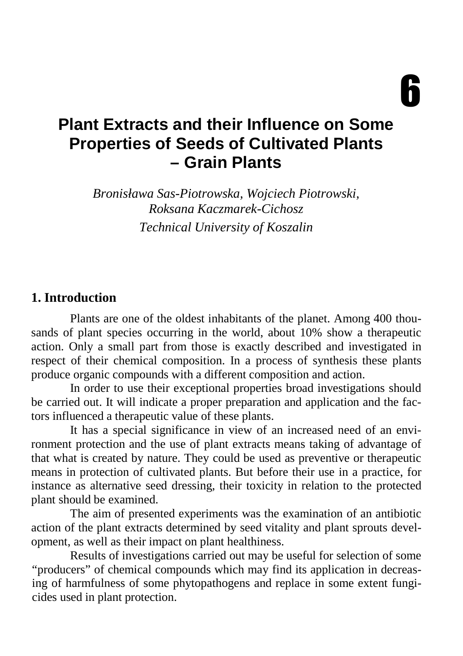$\bm{\mathsf{h}}$ 

# **Plant Extracts and their Influence on Some Properties of Seeds of Cultivated Plants – Grain Plants**

*Bronisława Sas-Piotrowska, Wojciech Piotrowski, Roksana Kaczmarek-Cichosz Technical University of Koszalin* 

#### **1. Introduction**

 Plants are one of the oldest inhabitants of the planet. Among 400 thousands of plant species occurring in the world, about 10% show a therapeutic action. Only a small part from those is exactly described and investigated in respect of their chemical composition. In a process of synthesis these plants produce organic compounds with a different composition and action.

 In order to use their exceptional properties broad investigations should be carried out. It will indicate a proper preparation and application and the factors influenced a therapeutic value of these plants.

It has a special significance in view of an increased need of an environment protection and the use of plant extracts means taking of advantage of that what is created by nature. They could be used as preventive or therapeutic means in protection of cultivated plants. But before their use in a practice, for instance as alternative seed dressing, their toxicity in relation to the protected plant should be examined.

The aim of presented experiments was the examination of an antibiotic action of the plant extracts determined by seed vitality and plant sprouts development, as well as their impact on plant healthiness.

 Results of investigations carried out may be useful for selection of some "producers" of chemical compounds which may find its application in decreasing of harmfulness of some phytopathogens and replace in some extent fungicides used in plant protection.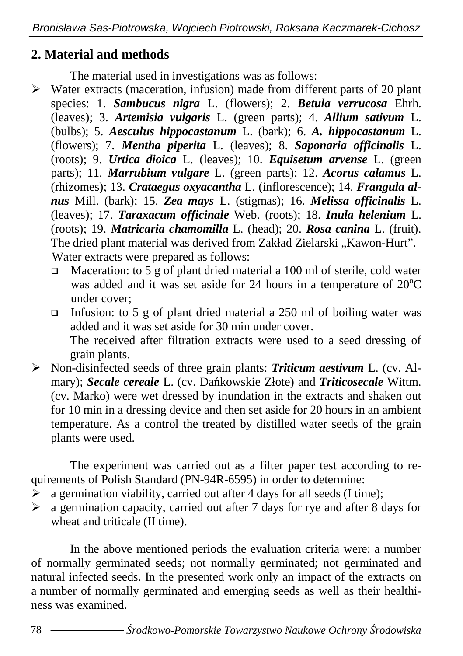### **2. Material and methods**

The material used in investigations was as follows:

- $\triangleright$  Water extracts (maceration, infusion) made from different parts of 20 plant species: 1. *Sambucus nigra* L. (flowers); 2. *Betula verrucosa* Ehrh. (leaves); 3. *Artemisia vulgaris* L. (green parts); 4. *Allium sativum* L. (bulbs); 5. *Aesculus hippocastanum* L. (bark); 6. *A. hippocastanum* L. (flowers); 7. *Mentha piperita* L. (leaves); 8. *Saponaria officinalis* L. (roots); 9. *Urtica dioica* L. (leaves); 10. *Equisetum arvense* L. (green parts); 11. *Marrubium vulgare* L. (green parts); 12. *Acorus calamus* L. (rhizomes); 13. *Crataegus oxyacantha* L. (inflorescence); 14. *Frangula alnus* Mill. (bark); 15. *Zea mays* L. (stigmas); 16. *Melissa officinalis* L. (leaves); 17. *Taraxacum officinale* Web. (roots); 18. *Inula helenium* L. (roots); 19. *Matricaria chamomilla* L. (head); 20. *Rosa canina* L. (fruit). The dried plant material was derived from Zakład Zielarski "Kawon-Hurt". Water extracts were prepared as follows:
	- □ Maceration: to 5 g of plant dried material a 100 ml of sterile, cold water was added and it was set aside for 24 hours in a temperature of  $20^{\circ}$ C under cover;
	- Infusion: to 5 g of plant dried material a 250 ml of boiling water was added and it was set aside for 30 min under cover. The received after filtration extracts were used to a seed dressing of grain plants.
- Non-disinfected seeds of three grain plants: *Triticum aestivum* L. (cv. Almary); *Secale cereale* L. (cv. Dańkowskie Złote) and *Triticosecale* Wittm. (cv. Marko) were wet dressed by inundation in the extracts and shaken out for 10 min in a dressing device and then set aside for 20 hours in an ambient temperature. As a control the treated by distilled water seeds of the grain plants were used.

The experiment was carried out as a filter paper test according to requirements of Polish Standard (PN-94R-6595) in order to determine:

- $\hat{P}$  a germination viability, carried out after 4 days for all seeds (I time);
- $\geq$  a germination capacity, carried out after 7 days for rye and after 8 days for wheat and triticale (II time).

In the above mentioned periods the evaluation criteria were: a number of normally germinated seeds; not normally germinated; not germinated and natural infected seeds. In the presented work only an impact of the extracts on a number of normally germinated and emerging seeds as well as their healthiness was examined.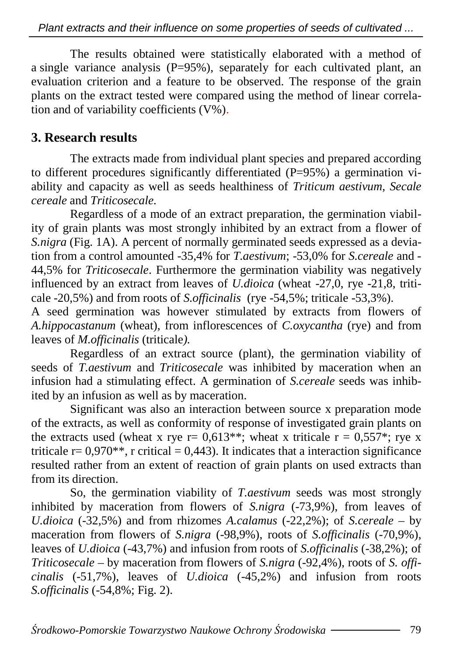The results obtained were statistically elaborated with a method of a single variance analysis  $(P=95\%)$ , separately for each cultivated plant, an evaluation criterion and a feature to be observed. The response of the grain plants on the extract tested were compared using the method of linear correlation and of variability coefficients  $(V\%)$ .

### **3. Research results**

 The extracts made from individual plant species and prepared according to different procedures significantly differentiated  $(P=95%)$  a germination viability and capacity as well as seeds healthiness of *Triticum aestivum, Secale cereale* and *Triticosecale.*

Regardless of a mode of an extract preparation, the germination viability of grain plants was most strongly inhibited by an extract from a flower of *S.nigra* (Fig. 1A). A percent of normally germinated seeds expressed as a deviation from a control amounted -35,4% for *T.aestivum*; -53,0% for *S.cereale* and - 44,5% for *Triticosecale*. Furthermore the germination viability was negatively influenced by an extract from leaves of *U.dioica* (wheat -27,0, rye -21,8, triticale -20,5%) and from roots of *S.officinalis* (rye -54,5%; triticale -53,3%).

A seed germination was however stimulated by extracts from flowers of *A.hippocastanum* (wheat), from inflorescences of *C.oxycantha* (rye) and from leaves of *M.officinalis* (triticale*).*

 Regardless of an extract source (plant), the germination viability of seeds of *T.aestivum* and *Triticosecale* was inhibited by maceration when an infusion had a stimulating effect. A germination of *S.cereale* seeds was inhibited by an infusion as well as by maceration.

 Significant was also an interaction between source x preparation mode of the extracts, as well as conformity of response of investigated grain plants on the extracts used (wheat x rye  $r = 0.613$ \*\*; wheat x triticale  $r = 0.557$ \*; rye x triticale  $r = 0.970**$ , r critical = 0,443). It indicates that a interaction significance resulted rather from an extent of reaction of grain plants on used extracts than from its direction.

 So, the germination viability of *T.aestivum* seeds was most strongly inhibited by maceration from flowers of *S.nigra* (-73,9%), from leaves of *U.dioica* (-32,5%) and from rhizomes *A.calamus* (-22,2%); of *S.cereale* – by maceration from flowers of *S.nigra* (-98,9%), roots of *S.officinalis* (-70,9%), leaves of *U.dioica* (-43,7%) and infusion from roots of *S.officinalis* (-38,2%); of *Triticosecale* – by maceration from flowers of *S.nigra* (-92,4%), roots of *S. officinalis* (-51,7%), leaves of *U.dioica* (-45,2%) and infusion from roots *S.officinalis* (-54,8%; Fig. 2).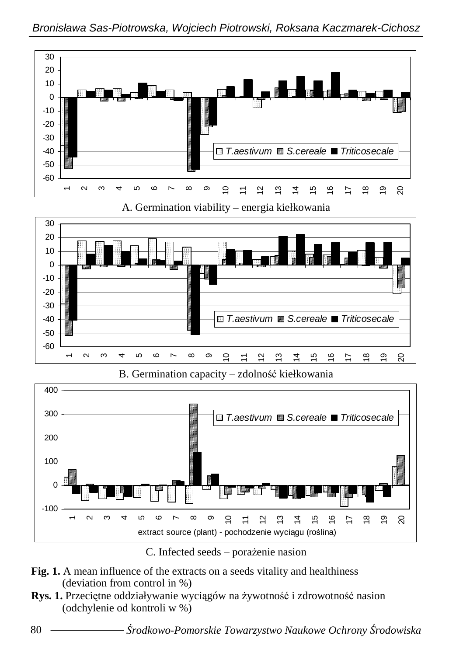

C. Infected seeds – poraženie nasion

- **Fig. 1.** A mean influence of the extracts on a seeds vitality and healthiness (deviation from control in %)
- Rys. 1. Przeciętne oddziaływanie wyciągów na żywotność i zdrowotność nasion (odchylenie od kontroli w %)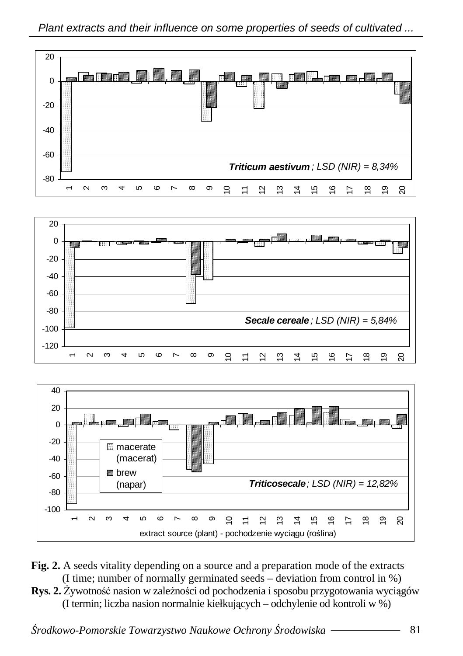

- **Fig. 2.** A seeds vitality depending on a source and a preparation mode of the extracts (I time; number of normally germinated seeds – deviation from control in %)
- **Rys. 2.** Żywotność nasion w zależności od pochodzenia i sposobu przygotowania wyciągów (I termin; liczba nasion normalnie kiełkujących – odchylenie od kontroli w %)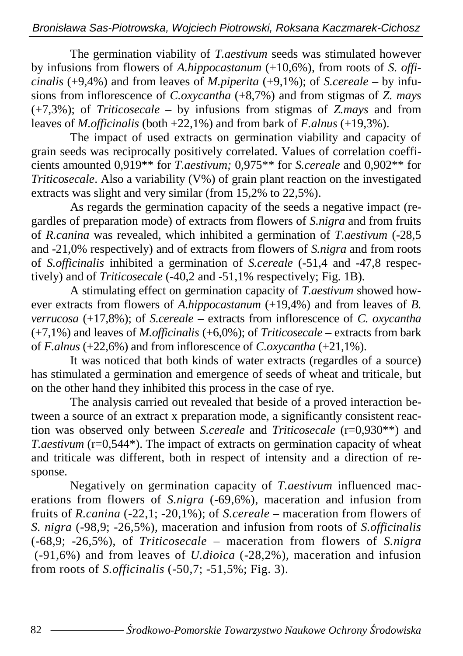The germination viability of *T.aestivum* seeds was stimulated however by infusions from flowers of *A.hippocastanum* (+10,6%), from roots of *S. officinalis* (+9,4%) and from leaves of *M.piperita* (+9,1%); of *S.cereale* – by infusions from inflorescence of *C.oxycantha* (+8,7%) and from stigmas of *Z. mays*  (+7,3%); of *Triticosecale* – by infusions from stigmas of *Z.mays* and from leaves of *M.officinalis* (both +22,1%) and from bark of *F.alnus* (+19,3%).

 The impact of used extracts on germination viability and capacity of grain seeds was reciprocally positively correlated. Values of correlation coefficients amounted 0,919\*\* for *T.aestivum;* 0,975\*\* for *S.cereale* and 0,902\*\* for *Triticosecale*. Also a variability (V%) of grain plant reaction on the investigated extracts was slight and very similar (from 15,2% to 22,5%).

 As regards the germination capacity of the seeds a negative impact (regardles of preparation mode) of extracts from flowers of *S.nigra* and from fruits of *R.canina* was revealed, which inhibited a germination of *T.aestivum* (-28,5 and -21,0% respectively) and of extracts from flowers of *S.nigra* and from roots of *S.officinalis* inhibited a germination of *S.cereale* (-51,4 and -47,8 respectively) and of *Triticosecale* (-40,2 and -51,1% respectively; Fig. 1B)*.* 

A stimulating effect on germination capacity of *T.aestivum* showed however extracts from flowers of *A.hippocastanum* (+19,4%) and from leaves of *B*. *verrucosa* (+17,8%); of *S.cereale –* extracts from inflorescence of *C. oxycantha*  (+7,1%) and leaves of *M.officinalis* (+6,0%); of *Triticosecale* – extracts from bark of *F.alnus* (+22,6%) and from inflorescence of *C.oxycantha* (+21,1%).

 It was noticed that both kinds of water extracts (regardles of a source) has stimulated a germination and emergence of seeds of wheat and triticale*,* but on the other hand they inhibited this process in the case of rye.

The analysis carried out revealed that beside of a proved interaction between a source of an extract x preparation mode, a significantly consistent reaction was observed only between *S.cereale* and *Triticosecale* (r=0,930\*\*) and *T.aestivum* (r=0,544\*). The impact of extracts on germination capacity of wheat and triticale was different, both in respect of intensity and a direction of response.

Negatively on germination capacity of *T.aestivum* influenced macerations from flowers of *S.nigra* (-69.6%), maceration and infusion from fruits of *R.canina* (-22,1; -20,1%); of *S.cereale* – maceration from flowers of *S. nigra* (-98,9; -26,5%), maceration and infusion from roots of *S.officinalis*  (-68,9; -26,5%), of *Triticosecale* – maceration from flowers of *S.nigra*  (-91,6%) and from leaves of *U.dioica* (-28,2%), maceration and infusion from roots of *S.officinalis* (-50,7; -51,5%; Fig. 3).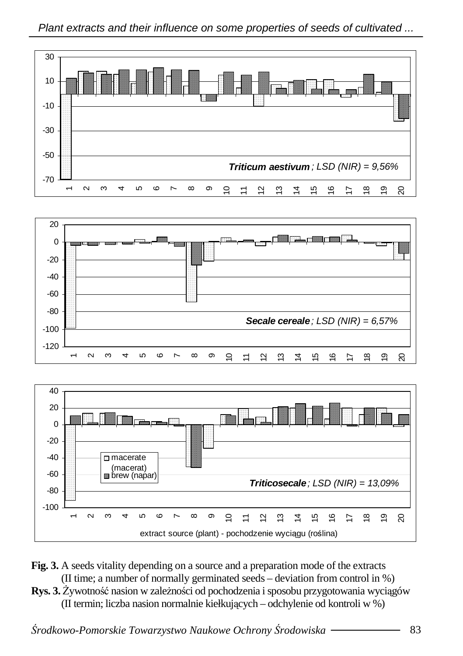





- **Fig. 3.** A seeds vitality depending on a source and a preparation mode of the extracts (II time; a number of normally germinated seeds – deviation from control in %)
- **Rys. 3.** Żywotność nasion w zależności od pochodzenia i sposobu przygotowania wyciągów (II termin; liczba nasion normalnie kiełkujących – odchylenie od kontroli w %)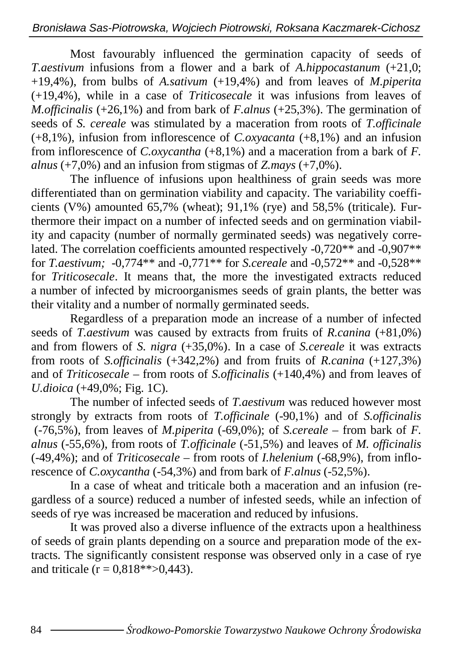Most favourably influenced the germination capacity of seeds of *T.aestivum* infusions from a flower and a bark of *A.hippocastanum* (+21,0; +19,4%), from bulbs of *A.sativum* (+19,4%) and from leaves of *M.piperita*  (+19,4%), while in a case of *Triticosecale* it was infusions from leaves of *M.officinalis* (+26,1%) and from bark of *F.alnus* (+25,3%). The germination of seeds of *S. cereale* was stimulated by a maceration from roots of *T.officinale*  (+8,1%), infusion from inflorescence of *C.oxyacanta* (+8,1%) and an infusion from inflorescence of *C.oxycantha* (+8,1%) and a maceration from a bark of *F. alnus*  $(+7.0\%)$  and an infusion from stigmas of *Z.mays*  $(+7.0\%)$ .

 The influence of infusions upon healthiness of grain seeds was more differentiated than on germination viability and capacity. The variability coefficients (V%) amounted 65,7% (wheat); 91,1% (rye) and 58,5% (triticale)*.* Furthermore their impact on a number of infected seeds and on germination viability and capacity (number of normally germinated seeds) was negatively correlated. The correlation coefficients amounted respectively -0,720<sup>\*\*</sup> and -0,907<sup>\*\*</sup> for *T.aestivum;* -0,774\*\* and -0,771\*\* for *S.cereale* and -0,572\*\* and -0,528\*\* for *Triticosecale*. It means that, the more the investigated extracts reduced a number of infected by microorganismes seeds of grain plants, the better was their vitality and a number of normally germinated seeds.

 Regardless of a preparation mode an increase of a number of infected seeds of *T.aestivum* was caused by extracts from fruits of *R.canina* (+81,0%) and from flowers of *S. nigra* (+35,0%). In a case of *S.cereale* it was extracts from roots of *S.officinalis* (+342,2%) and from fruits of *R.canina* (+127,3%) and of *Triticosecale* – from roots of *S.officinalis* (+140,4%) and from leaves of *U.dioica* (+49,0%; Fig. 1C).

The number of infected seeds of *T.aestivum* was reduced however most strongly by extracts from roots of *T.officinale* (-90,1%) and of *S.officinalis*  (-76,5%), from leaves of *M.piperita* (-69,0%); of *S.cereale* – from bark of *F. alnus* (-55,6%), from roots of *T.officinale* (-51,5%) and leaves of *M. officinalis* (-49,4%); and of *Triticosecale* – from roots of *I.helenium* (-68,9%), from inflorescence of *C.oxycantha* (-54,3%) and from bark of *F.alnus* (-52,5%).

 In a case of wheat and triticale both a maceration and an infusion (regardless of a source) reduced a number of infested seeds, while an infection of seeds of rye was increased be maceration and reduced by infusions.

 It was proved also a diverse influence of the extracts upon a healthiness of seeds of grain plants depending on a source and preparation mode of the extracts. The significantly consistent response was observed only in a case of rye and triticale ( $r = 0.818**>0.443$ ).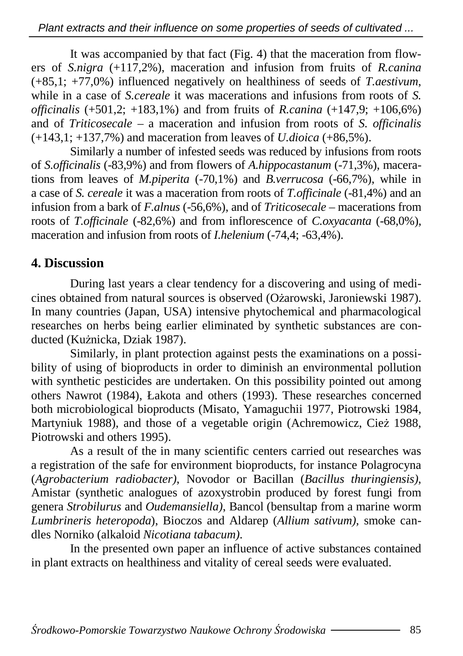It was accompanied by that fact (Fig. 4) that the maceration from flowers of *S.nigra* (+117,2%), maceration and infusion from fruits of *R.canina*  (+85,1; +77,0%) influenced negatively on healthiness of seeds of *T.aestivum*, while in a case of *S.cereale* it was macerations and infusions from roots of *S. officinalis* (+501,2; +183,1%) and from fruits of *R.canina* (+147,9; +106,6%) and of *Triticosecale* – a maceration and infusion from roots of *S. officinalis*  (+143,1; +137,7%) and maceration from leaves of *U.dioica* (+86,5%).

 Similarly a number of infested seeds was reduced by infusions from roots of *S.officinalis* (-83,9%) and from flowers of *A.hippocastanum* (-71,3%), macerations from leaves of *M.piperita* (-70,1%) and *B.verrucosa* (-66,7%), while in a case of *S. cereale* it was a maceration from roots of *T.officinale* (-81,4%) and an infusion from a bark of *F.alnus* (-56,6%), and of *Triticosecale* – macerations from roots of *T.officinale* (-82,6%) and from inflorescence of *C.oxyacanta* (-68,0%), maceration and infusion from roots of *I.helenium* (-74,4; -63,4%).

#### **4. Discussion**

During last years a clear tendency for a discovering and using of medicines obtained from natural sources is observed (Ożarowski, Jaroniewski 1987). In many countries (Japan, USA) intensive phytochemical and pharmacological researches on herbs being earlier eliminated by synthetic substances are conducted (Kużnicka, Dziak 1987).

Similarly, in plant protection against pests the examinations on a possibility of using of bioproducts in order to diminish an environmental pollution with synthetic pesticides are undertaken. On this possibility pointed out among others Nawrot (1984), Łakota and others (1993). These researches concerned both microbiological bioproducts (Misato, Yamaguchii 1977, Piotrowski 1984, Martyniuk 1988), and those of a vegetable origin (Achremowicz, Cież 1988, Piotrowski and others 1995).

As a result of the in many scientific centers carried out researches was a registration of the safe for environment bioproducts, for instance Polagrocyna (*Agrobacterium radiobacter)*, Novodor or Bacillan (*Bacillus thuringiensis)*, Amistar (synthetic analogues of azoxystrobin produced by forest fungi from genera *Strobilurus* and *Oudemansiella)*, Bancol (bensultap from a marine worm *Lumbrineris heteropoda*), Bioczos and Aldarep (*Allium sativum),* smoke candles Norniko (alkaloid *Nicotiana tabacum)*.

In the presented own paper an influence of active substances contained in plant extracts on healthiness and vitality of cereal seeds were evaluated.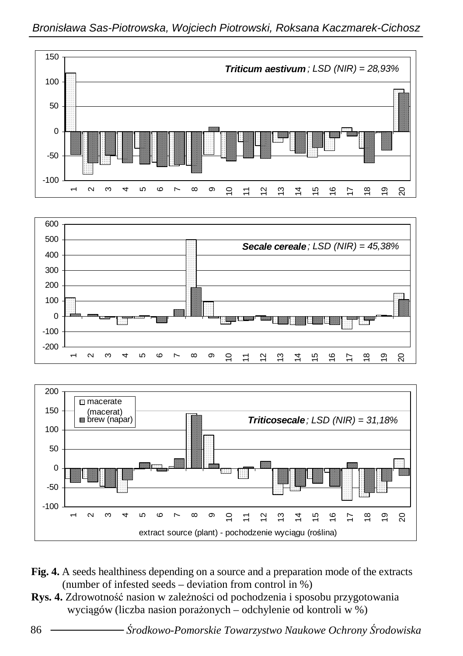

**Fig. 4.** A seeds healthiness depending on a source and a preparation mode of the extracts (number of infested seeds – deviation from control in %)

extract source (plant) - pochodzenie wyciągu (roślina)

Rys. 4. Zdrowotność nasion w zależności od pochodzenia i sposobu przygotowania wyciągów (liczba nasion porażonych – odchylenie od kontroli w %)

-100

 $\overline{ }$  $\overline{\mathbf{c}}$ ო  $\overline{\phantom{0}}$  $\infty$ თ  $\overline{0}$  $\overline{1}$   $\overline{3}$  $\overline{4}$  $\overline{5}$  $\overline{6}$  $\geq$  $\frac{\infty}{2}$  $\overline{9}$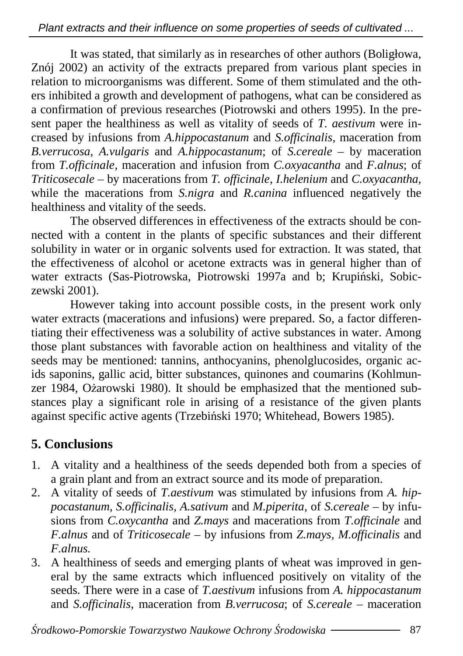It was stated, that similarly as in researches of other authors (Boligłowa, Znój 2002) an activity of the extracts prepared from various plant species in relation to microorganisms was different. Some of them stimulated and the others inhibited a growth and development of pathogens, what can be considered as a confirmation of previous researches (Piotrowski and others 1995). In the present paper the healthiness as well as vitality of seeds of *T. aestivum* were increased by infusions from *A.hippocastanum* and *S.officinalis,* maceration from *B.verrucosa, A.vulgaris* and *A.hippocastanum*; of *S.cereale* – by maceration from *T.officinale*, maceration and infusion from *C.oxyacantha* and *F.alnus*; of *Triticosecale* – by macerations from *T. officinale*, *I.helenium* and *C.oxyacantha*, while the macerations from *S.nigra* and *R.canina* influenced negatively the healthiness and vitality of the seeds.

The observed differences in effectiveness of the extracts should be connected with a content in the plants of specific substances and their different solubility in water or in organic solvents used for extraction. It was stated, that the effectiveness of alcohol or acetone extracts was in general higher than of water extracts (Sas-Piotrowska, Piotrowski 1997a and b; Krupiński, Sobiczewski 2001).

However taking into account possible costs, in the present work only water extracts (macerations and infusions) were prepared. So, a factor differentiating their effectiveness was a solubility of active substances in water. Among those plant substances with favorable action on healthiness and vitality of the seeds may be mentioned: tannins, anthocyanins, phenolglucosides, organic acids saponins, gallic acid, bitter substances, quinones and coumarins (Kohlmunzer 1984, Ożarowski 1980). It should be emphasized that the mentioned substances play a significant role in arising of a resistance of the given plants against specific active agents (Trzebiński 1970; Whitehead, Bowers 1985).

### **5. Conclusions**

- 1. A vitality and a healthiness of the seeds depended both from a species of a grain plant and from an extract source and its mode of preparation.
- 2. A vitality of seeds of *T.aestivum* was stimulated by infusions from *A. hippocastanum, S.officinalis, A.sativum and M.piperita, of S.cereale – by infu*sions from *C.oxycantha* and *Z.mays* and macerations from *T.officinale* and *F.alnus* and of *Triticosecale* – by infusions from *Z.mays, M.officinalis* and *F.alnus.*
- 3. A healthiness of seeds and emerging plants of wheat was improved in general by the same extracts which influenced positively on vitality of the seeds. There were in a case of *T.aestivum* infusions from *A. hippocastanum*  and *S.officinalis*, maceration from *B.verrucosa*; of *S.cereale* – maceration

Ś*rodkowo-Pomorskie Towarzystwo Naukowe Ochrony* Ś*rodowiska* 87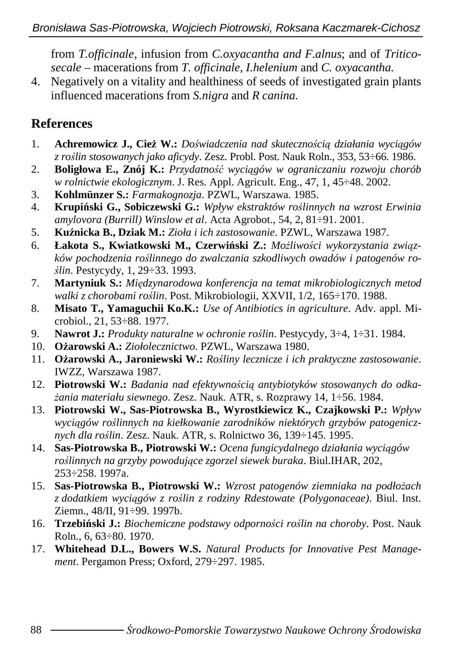from *T.officinale*, infusion from *C.oxyacantha and F.alnus*; and of *Triticosecale* – macerations from *T. officinale*, *I.helenium* and *C. oxyacantha.*

4. Negatively on a vitality and healthiness of seeds of investigated grain plants influenced macerations from *S.nigra* and *R canina.*

#### **References**

- 1. **Achremowicz J., Cie**Ŝ **W.:** *Do*ś*wiadczenia nad skuteczno*ś*ci*ą *działania wyci*ą*gów z ro*ś*lin stosowanych jako aficydy*. Zesz. Probl. Post. Nauk Roln., 353, 53÷66. 1986.
- 2. **Boligłowa E., Znój K.:** *Przydatno*ść *wyci*ą*gów w ograniczaniu rozwoju chorób w rolnictwie ekologicznym*. J. Res. Appl. Agricult. Eng., 47, 1, 45÷48. 2002.
- 3. **Kohlmünzer S.:** *Farmakognozja*. PZWL, Warszawa. 1985.
- 4. **Krupi**ń**ski G., Sobiczewski G.:** *Wpływ ekstraktów ro*ś*linnych na wzrost Erwinia amylovora (Burrill) Winslow et al*. Acta Agrobot., 54, 2, 81÷91. 2001.
- 5. **Ku**ź**nicka B., Dziak M.:** *Zioła i ich zastosowanie*. PZWL, Warszawa 1987.
- 6. **Łakota S., Kwiatkowski M., Czerwiński Z.:** Możliwości wykorzystania związ*ków pochodzenia ro*ś*linnego do zwalczania szkodliwych owadów i patogenów ro*ś*lin*. Pestycydy, 1, 29÷33. 1993.
- 7. **Martyniuk S.:** *Mi*ę*dzynarodowa konferencja na temat mikrobiologicznych metod walki z chorobami ro*ś*lin*. Post. Mikrobiologii, XXVII, 1/2, 165÷170. 1988.
- 8. **Misato T., Yamaguchii Ko.K.:** *Use of Antibiotics in agriculture*. Adv. appl. Microbiol., 21, 53÷88. 1977.
- 9. **Nawrot J.:** *Produkty naturalne w ochronie ro*ś*lin*. Pestycydy, 3÷4, 1÷31. 1984.
- 10. **O**Ŝ**arowski A.:** *Ziołolecznictwo*. PZWL, Warszawa 1980.
- 11. **O**Ŝ**arowski A., Jaroniewski W.:** *Ro*ś*liny lecznicze i ich praktyczne zastosowanie*. IWZZ, Warszawa 1987.
- 12. **Piotrowski W.:** *Badania nad efektywno*ś*ci*ą *antybiotyków stosowanych do odka-*Ŝ*ania materiału siewnego*. Zesz. Nauk. ATR, s. Rozprawy 14, 1÷56. 1984.
- 13. **Piotrowski W., Sas-Piotrowska B., Wyrostkiewicz K., Czajkowski P.:** *Wpływ wyci*ą*gów ro*ś*linnych na kiełkowanie zarodników niektórych grzybów patogenicznych dla ro*ś*lin*. Zesz. Nauk. ATR, s. Rolnictwo 36, 139÷145. 1995.
- 14. **Sas-Piotrowska B., Piotrowski W.:** *Ocena fungicydalnego działania wyci*ą*gów ro*ś*linnych na grzyby powoduj*ą*ce zgorzel siewek buraka*. Biul.IHAR, 202, 253÷258. 1997a.
- 15. **Sas-Piotrowska B., Piotrowski W.:** *Wzrost patogenów ziemniaka na podłożach z dodatkiem wyci*ą*gów z ro*ś*lin z rodziny Rdestowate (Polygonaceae)*. Biul. Inst. Ziemn., 48/II, 91÷99. 1997b.
- 16. **Trzebi**ń**ski J.:** *Biochemiczne podstawy odporno*ś*ci ro*ś*lin na choroby*. Post. Nauk Roln., 6, 63÷80. 1970.
- 17. **Whitehead D.L., Bowers W.S.** *Natural Products for Innovative Pest Management*. Pergamon Press; Oxford, 279÷297. 1985.